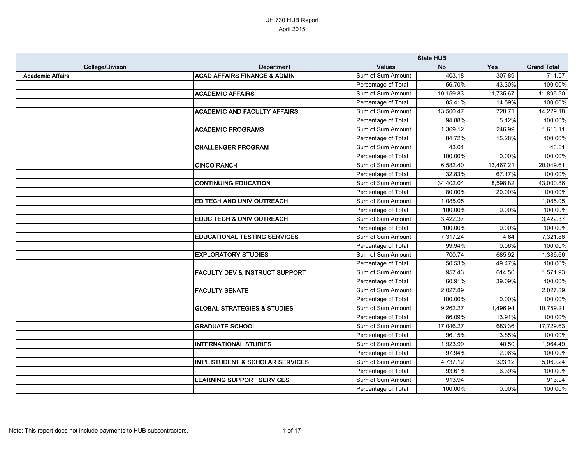|                         |                                           |                     | <b>State HUB</b> |            |                    |
|-------------------------|-------------------------------------------|---------------------|------------------|------------|--------------------|
| College/Divison         | Department                                | <b>Values</b>       | <b>No</b>        | <b>Yes</b> | <b>Grand Total</b> |
| <b>Academic Affairs</b> | <b>ACAD AFFAIRS FINANCE &amp; ADMIN</b>   | Sum of Sum Amount   | 403.18           | 307.89     | 711.07             |
|                         |                                           | Percentage of Total | 56.70%           | 43.30%     | 100.00%            |
|                         | <b>ACADEMIC AFFAIRS</b>                   | Sum of Sum Amount   | 10,159.83        | 1,735.67   | 11,895.50          |
|                         |                                           | Percentage of Total | 85.41%           | 14.59%     | 100.00%            |
|                         | <b>ACADEMIC AND FACULTY AFFAIRS</b>       | Sum of Sum Amount   | 13,500.47        | 728.71     | 14,229.18          |
|                         |                                           | Percentage of Total | 94.88%           | 5.12%      | 100.00%            |
|                         | <b>ACADEMIC PROGRAMS</b>                  | Sum of Sum Amount   | 1,369.12         | 246.99     | 1,616.11           |
|                         |                                           | Percentage of Total | 84.72%           | 15.28%     | 100.00%            |
|                         | <b>CHALLENGER PROGRAM</b>                 | Sum of Sum Amount   | 43.01            |            | 43.01              |
|                         |                                           | Percentage of Total | 100.00%          | 0.00%      | 100.00%            |
|                         | <b>CINCO RANCH</b>                        | Sum of Sum Amount   | 6,582.40         | 13,467.21  | 20,049.61          |
|                         |                                           | Percentage of Total | 32.83%           | 67.17%     | 100.00%            |
|                         | <b>CONTINUING EDUCATION</b>               | Sum of Sum Amount   | 34,402.04        | 8,598.82   | 43,000.86          |
|                         |                                           | Percentage of Total | 80.00%           | 20.00%     | 100.00%            |
|                         | <b>ED TECH AND UNIV OUTREACH</b>          | Sum of Sum Amount   | 1,085.05         |            | 1,085.05           |
|                         |                                           | Percentage of Total | 100.00%          | 0.00%      | 100.00%            |
|                         | <b>EDUC TECH &amp; UNIV OUTREACH</b>      | Sum of Sum Amount   | 3,422.37         |            | 3,422.37           |
|                         |                                           | Percentage of Total | 100.00%          | 0.00%      | 100.00%            |
|                         | <b>EDUCATIONAL TESTING SERVICES</b>       | Sum of Sum Amount   | 7,317.24         | 4.64       | 7,321.88           |
|                         |                                           | Percentage of Total | 99.94%           | 0.06%      | 100.00%            |
|                         | <b>EXPLORATORY STUDIES</b>                | Sum of Sum Amount   | 700.74           | 685.92     | 1,386.66           |
|                         |                                           | Percentage of Total | 50.53%           | 49.47%     | 100.00%            |
|                         | <b>FACULTY DEV &amp; INSTRUCT SUPPORT</b> | Sum of Sum Amount   | 957.43           | 614.50     | 1,571.93           |
|                         |                                           | Percentage of Total | 60.91%           | 39.09%     | 100.00%            |
|                         | <b>FACULTY SENATE</b>                     | Sum of Sum Amount   | 2,027.89         |            | 2,027.89           |
|                         |                                           | Percentage of Total | 100.00%          | 0.00%      | 100.00%            |
|                         | <b>GLOBAL STRATEGIES &amp; STUDIES</b>    | Sum of Sum Amount   | 9,262.27         | 1,496.94   | 10,759.21          |
|                         |                                           | Percentage of Total | 86.09%           | 13.91%     | 100.00%            |
|                         | <b>GRADUATE SCHOOL</b>                    | Sum of Sum Amount   | 17,046.27        | 683.36     | 17,729.63          |
|                         |                                           | Percentage of Total | 96.15%           | 3.85%      | 100.00%            |
|                         | <b>INTERNATIONAL STUDIES</b>              | Sum of Sum Amount   | 1,923.99         | 40.50      | 1,964.49           |
|                         |                                           | Percentage of Total | 97.94%           | 2.06%      | 100.00%            |
|                         | INT'L STUDENT & SCHOLAR SERVICES          | Sum of Sum Amount   | 4,737.12         | 323.12     | 5,060.24           |
|                         |                                           | Percentage of Total | 93.61%           | 6.39%      | 100.00%            |
|                         | <b>LEARNING SUPPORT SERVICES</b>          | Sum of Sum Amount   | 913.94           |            | 913.94             |
|                         |                                           | Percentage of Total | 100.00%          | 0.00%      | 100.00%            |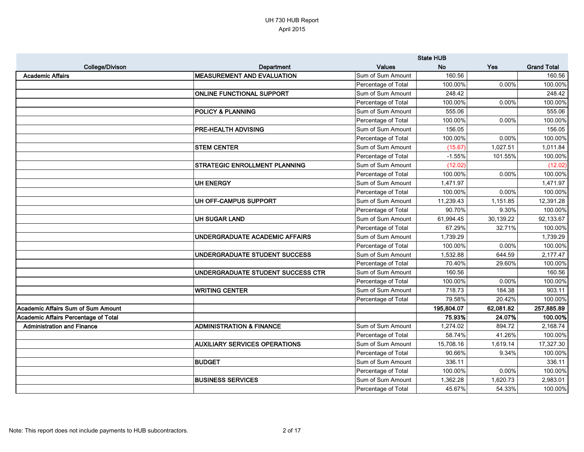|                                      |                                      |                     | <b>State HUB</b> |           |                    |
|--------------------------------------|--------------------------------------|---------------------|------------------|-----------|--------------------|
| College/Divison                      | <b>Department</b>                    | <b>Values</b>       | <b>No</b>        | Yes       | <b>Grand Total</b> |
| <b>Academic Affairs</b>              | <b>MEASUREMENT AND EVALUATION</b>    | Sum of Sum Amount   | 160.56           |           | 160.56             |
|                                      |                                      | Percentage of Total | 100.00%          | 0.00%     | 100.00%            |
|                                      | <b>ONLINE FUNCTIONAL SUPPORT</b>     | Sum of Sum Amount   | 248.42           |           | 248.42             |
|                                      |                                      | Percentage of Total | 100.00%          | 0.00%     | 100.00%            |
|                                      | <b>POLICY &amp; PLANNING</b>         | Sum of Sum Amount   | 555.06           |           | 555.06             |
|                                      |                                      | Percentage of Total | 100.00%          | 0.00%     | 100.00%            |
|                                      | <b>PRE-HEALTH ADVISING</b>           | Sum of Sum Amount   | 156.05           |           | 156.05             |
|                                      |                                      | Percentage of Total | 100.00%          | 0.00%     | 100.00%            |
|                                      | <b>STEM CENTER</b>                   | Sum of Sum Amount   | (15.67)          | 1,027.51  | 1,011.84           |
|                                      |                                      | Percentage of Total | $-1.55%$         | 101.55%   | 100.00%            |
|                                      | <b>STRATEGIC ENROLLMENT PLANNING</b> | Sum of Sum Amount   | (12.02)          |           | (12.02)            |
|                                      |                                      | Percentage of Total | 100.00%          | 0.00%     | 100.00%            |
|                                      | UH ENERGY                            | Sum of Sum Amount   | 1,471.97         |           | 1,471.97           |
|                                      |                                      | Percentage of Total | 100.00%          | 0.00%     | 100.00%            |
|                                      | UH OFF-CAMPUS SUPPORT                | Sum of Sum Amount   | 11,239.43        | 1,151.85  | 12,391.28          |
|                                      |                                      | Percentage of Total | 90.70%           | 9.30%     | 100.00%            |
|                                      | <b>UH SUGAR LAND</b>                 | Sum of Sum Amount   | 61,994.45        | 30,139.22 | 92,133.67          |
|                                      |                                      | Percentage of Total | 67.29%           | 32.71%    | 100.00%            |
|                                      | UNDERGRADUATE ACADEMIC AFFAIRS       | Sum of Sum Amount   | 1,739.29         |           | 1,739.29           |
|                                      |                                      | Percentage of Total | 100.00%          | 0.00%     | 100.00%            |
|                                      | UNDERGRADUATE STUDENT SUCCESS        | Sum of Sum Amount   | 1,532.88         | 644.59    | 2,177.47           |
|                                      |                                      | Percentage of Total | 70.40%           | 29.60%    | 100.00%            |
|                                      | UNDERGRADUATE STUDENT SUCCESS CTR    | Sum of Sum Amount   | 160.56           |           | 160.56             |
|                                      |                                      | Percentage of Total | 100.00%          | 0.00%     | 100.00%            |
|                                      | <b>WRITING CENTER</b>                | Sum of Sum Amount   | 718.73           | 184.38    | 903.11             |
|                                      |                                      | Percentage of Total | 79.58%           | 20.42%    | 100.00%            |
| Academic Affairs Sum of Sum Amount   |                                      |                     | 195,804.07       | 62,081.82 | 257,885.89         |
| Academic Affairs Percentage of Total |                                      |                     | 75.93%           | 24.07%    | 100.00%            |
| <b>Administration and Finance</b>    | <b>ADMINISTRATION &amp; FINANCE</b>  | Sum of Sum Amount   | 1,274.02         | 894.72    | 2,168.74           |
|                                      |                                      | Percentage of Total | 58.74%           | 41.26%    | 100.00%            |
|                                      | <b>AUXILIARY SERVICES OPERATIONS</b> | Sum of Sum Amount   | 15,708.16        | 1,619.14  | 17,327.30          |
|                                      |                                      | Percentage of Total | 90.66%           | 9.34%     | 100.00%            |
|                                      | <b>BUDGET</b>                        | Sum of Sum Amount   | 336.11           |           | 336.11             |
|                                      |                                      | Percentage of Total | 100.00%          | 0.00%     | 100.00%            |
|                                      | <b>BUSINESS SERVICES</b>             | Sum of Sum Amount   | 1,362.28         | 1,620.73  | 2,983.01           |
|                                      |                                      | Percentage of Total | 45.67%           | 54.33%    | 100.00%            |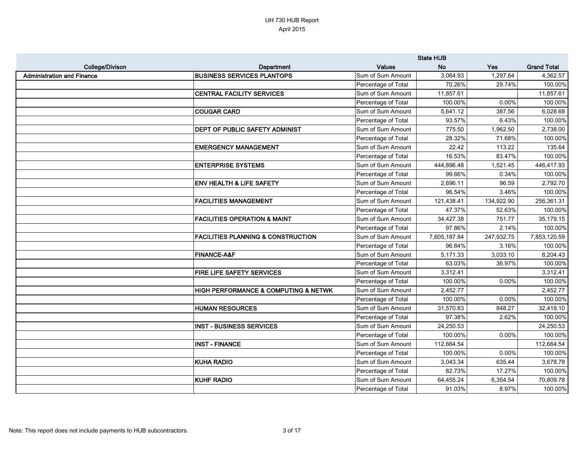|                                   |                                                     |                     | <b>State HUB</b> |            |                    |
|-----------------------------------|-----------------------------------------------------|---------------------|------------------|------------|--------------------|
| <b>College/Divison</b>            | Department                                          | <b>Values</b>       | <b>No</b>        | <b>Yes</b> | <b>Grand Total</b> |
| <b>Administration and Finance</b> | <b>BUSINESS SERVICES PLANTOPS</b>                   | Sum of Sum Amount   | 3,064.93         | 1,297.64   | 4,362.57           |
|                                   |                                                     | Percentage of Total | 70.26%           | 29.74%     | 100.00%            |
|                                   | <b>CENTRAL FACILITY SERVICES</b>                    | Sum of Sum Amount   | 11,857.61        |            | 11,857.61          |
|                                   |                                                     | Percentage of Total | 100.00%          | 0.00%      | 100.00%            |
|                                   | <b>COUGAR CARD</b>                                  | Sum of Sum Amount   | 5,641.12         | 387.56     | 6,028.68           |
|                                   |                                                     | Percentage of Total | 93.57%           | 6.43%      | 100.00%            |
|                                   | DEPT OF PUBLIC SAFETY ADMINIST                      | Sum of Sum Amount   | 775.50           | 1,962.50   | 2,738.00           |
|                                   |                                                     | Percentage of Total | 28.32%           | 71.68%     | 100.00%            |
|                                   | <b>EMERGENCY MANAGEMENT</b>                         | Sum of Sum Amount   | 22.42            | 113.22     | 135.64             |
|                                   |                                                     | Percentage of Total | 16.53%           | 83.47%     | 100.00%            |
|                                   | <b>ENTERPRISE SYSTEMS</b>                           | Sum of Sum Amount   | 444,896.48       | 1,521.45   | 446,417.93         |
|                                   |                                                     | Percentage of Total | 99.66%           | 0.34%      | 100.00%            |
|                                   | <b>ENV HEALTH &amp; LIFE SAFETY</b>                 | Sum of Sum Amount   | 2,696.11         | 96.59      | 2,792.70           |
|                                   |                                                     | Percentage of Total | 96.54%           | 3.46%      | 100.00%            |
|                                   | <b>FACILITIES MANAGEMENT</b>                        | Sum of Sum Amount   | 121,438.41       | 134,922.90 | 256,361.31         |
|                                   |                                                     | Percentage of Total | 47.37%           | 52.63%     | 100.00%            |
|                                   | <b>FACILITIES OPERATION &amp; MAINT</b>             | Sum of Sum Amount   | 34,427.38        | 751.77     | 35,179.15          |
|                                   |                                                     | Percentage of Total | 97.86%           | 2.14%      | 100.00%            |
|                                   | <b>FACILITIES PLANNING &amp; CONSTRUCTION</b>       | Sum of Sum Amount   | 7,605,187.84     | 247,932.75 | 7,853,120.59       |
|                                   |                                                     | Percentage of Total | 96.84%           | 3.16%      | 100.00%            |
|                                   | <b>FINANCE-A&amp;F</b>                              | Sum of Sum Amount   | 5,171.33         | 3,033.10   | 8,204.43           |
|                                   |                                                     | Percentage of Total | 63.03%           | 36.97%     | 100.00%            |
|                                   | FIRE LIFE SAFETY SERVICES                           | Sum of Sum Amount   | 3,312.41         |            | 3,312.41           |
|                                   |                                                     | Percentage of Total | 100.00%          | 0.00%      | 100.00%            |
|                                   | <b>HIGH PERFORMANCE &amp; COMPUTING &amp; NETWK</b> | Sum of Sum Amount   | 2,452.77         |            | 2,452.77           |
|                                   |                                                     | Percentage of Total | 100.00%          | 0.00%      | 100.00%            |
|                                   | <b>HUMAN RESOURCES</b>                              | Sum of Sum Amount   | 31,570.83        | 848.27     | 32,419.10          |
|                                   |                                                     | Percentage of Total | 97.38%           | 2.62%      | 100.00%            |
|                                   | <b>INST - BUSINESS SERVICES</b>                     | Sum of Sum Amount   | 24,250.53        |            | 24,250.53          |
|                                   |                                                     | Percentage of Total | 100.00%          | 0.00%      | 100.00%            |
|                                   | <b>INST - FINANCE</b>                               | Sum of Sum Amount   | 112,664.54       |            | 112,664.54         |
|                                   |                                                     | Percentage of Total | 100.00%          | 0.00%      | 100.00%            |
|                                   | <b>KUHA RADIO</b>                                   | Sum of Sum Amount   | 3,043.34         | 635.44     | 3,678.78           |
|                                   |                                                     | Percentage of Total | 82.73%           | 17.27%     | 100.00%            |
|                                   | <b>KUHF RADIO</b>                                   | Sum of Sum Amount   | 64,455.24        | 6,354.54   | 70,809.78          |
|                                   |                                                     | Percentage of Total | 91.03%           | 8.97%      | 100.00%            |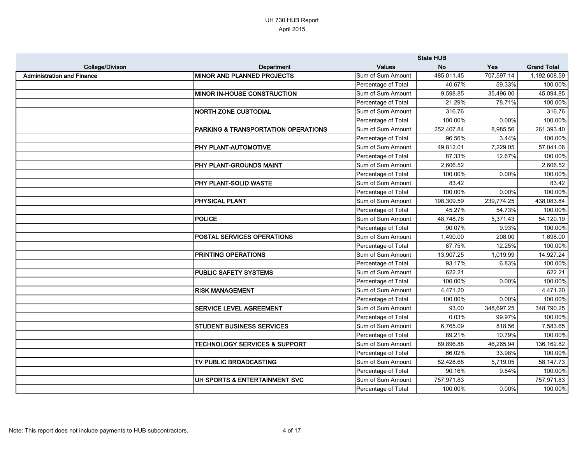|                                   |                                          |                     | <b>State HUB</b> |            |                    |
|-----------------------------------|------------------------------------------|---------------------|------------------|------------|--------------------|
| <b>College/Divison</b>            | Department                               | <b>Values</b>       | <b>No</b>        | <b>Yes</b> | <b>Grand Total</b> |
| <b>Administration and Finance</b> | <b>MINOR AND PLANNED PROJECTS</b>        | Sum of Sum Amount   | 485,011.45       | 707,597.14 | 1,192,608.59       |
|                                   |                                          | Percentage of Total | 40.67%           | 59.33%     | 100.00%            |
|                                   | <b>MINOR IN-HOUSE CONSTRUCTION</b>       | Sum of Sum Amount   | 9,598.85         | 35,496.00  | 45,094.85          |
|                                   |                                          | Percentage of Total | 21.29%           | 78.71%     | 100.00%            |
|                                   | <b>NORTH ZONE CUSTODIAL</b>              | Sum of Sum Amount   | 316.76           |            | 316.76             |
|                                   |                                          | Percentage of Total | 100.00%          | 0.00%      | 100.00%            |
|                                   | PARKING & TRANSPORTATION OPERATIONS      | Sum of Sum Amount   | 252,407.84       | 8,985.56   | 261,393.40         |
|                                   |                                          | Percentage of Total | 96.56%           | 3.44%      | 100.00%            |
|                                   | <b>PHY PLANT-AUTOMOTIVE</b>              | Sum of Sum Amount   | 49,812.01        | 7,229.05   | 57,041.06          |
|                                   |                                          | Percentage of Total | 87.33%           | 12.67%     | 100.00%            |
|                                   | <b>PHY PLANT-GROUNDS MAINT</b>           | Sum of Sum Amount   | 2,606.52         |            | 2,606.52           |
|                                   |                                          | Percentage of Total | 100.00%          | 0.00%      | 100.00%            |
|                                   | <b>PHY PLANT-SOLID WASTE</b>             | Sum of Sum Amount   | 83.42            |            | 83.42              |
|                                   |                                          | Percentage of Total | 100.00%          | 0.00%      | 100.00%            |
|                                   | <b>PHYSICAL PLANT</b>                    | Sum of Sum Amount   | 198,309.59       | 239,774.25 | 438,083.84         |
|                                   |                                          | Percentage of Total | 45.27%           | 54.73%     | 100.00%            |
|                                   | <b>POLICE</b>                            | Sum of Sum Amount   | 48,748.76        | 5,371.43   | 54,120.19          |
|                                   |                                          | Percentage of Total | 90.07%           | 9.93%      | 100.00%            |
|                                   | <b>POSTAL SERVICES OPERATIONS</b>        | Sum of Sum Amount   | 1,490.00         | 208.00     | 1,698.00           |
|                                   |                                          | Percentage of Total | 87.75%           | 12.25%     | 100.00%            |
|                                   | <b>PRINTING OPERATIONS</b>               | Sum of Sum Amount   | 13,907.25        | 1,019.99   | 14,927.24          |
|                                   |                                          | Percentage of Total | 93.17%           | 6.83%      | 100.00%            |
|                                   | <b>PUBLIC SAFETY SYSTEMS</b>             | Sum of Sum Amount   | 622.21           |            | 622.21             |
|                                   |                                          | Percentage of Total | 100.00%          | 0.00%      | 100.00%            |
|                                   | <b>RISK MANAGEMENT</b>                   | Sum of Sum Amount   | 4,471.20         |            | 4,471.20           |
|                                   |                                          | Percentage of Total | 100.00%          | 0.00%      | 100.00%            |
|                                   | <b>SERVICE LEVEL AGREEMENT</b>           | Sum of Sum Amount   | 93.00            | 348,697.25 | 348,790.25         |
|                                   |                                          | Percentage of Total | 0.03%            | 99.97%     | 100.00%            |
|                                   | <b>STUDENT BUSINESS SERVICES</b>         | Sum of Sum Amount   | 6,765.09         | 818.56     | 7,583.65           |
|                                   |                                          | Percentage of Total | 89.21%           | 10.79%     | 100.00%            |
|                                   | <b>TECHNOLOGY SERVICES &amp; SUPPORT</b> | Sum of Sum Amount   | 89,896.88        | 46,265.94  | 136,162.82         |
|                                   |                                          | Percentage of Total | 66.02%           | 33.98%     | 100.00%            |
|                                   | TV PUBLIC BROADCASTING                   | Sum of Sum Amount   | 52,428.68        | 5,719.05   | 58,147.73          |
|                                   |                                          | Percentage of Total | 90.16%           | 9.84%      | 100.00%            |
|                                   | UH SPORTS & ENTERTAINMENT SVC            | Sum of Sum Amount   | 757,971.83       |            | 757,971.83         |
|                                   |                                          | Percentage of Total | 100.00%          | 0.00%      | 100.00%            |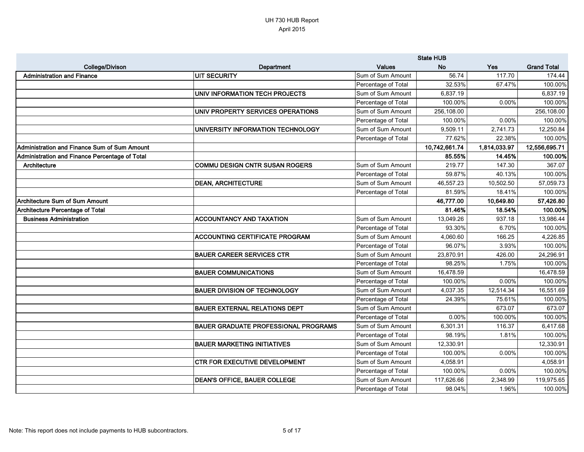|                                                     |                                             |                     | <b>State HUB</b> |              |                    |
|-----------------------------------------------------|---------------------------------------------|---------------------|------------------|--------------|--------------------|
| <b>College/Divison</b>                              | Department                                  | <b>Values</b>       | <b>No</b>        | Yes          | <b>Grand Total</b> |
| <b>Administration and Finance</b>                   | <b>UIT SECURITY</b>                         | Sum of Sum Amount   | 56.74            | 117.70       | 174.44             |
|                                                     |                                             | Percentage of Total | 32.53%           | 67.47%       | 100.00%            |
|                                                     | UNIV INFORMATION TECH PROJECTS              | Sum of Sum Amount   | 6,837.19         |              | 6,837.19           |
|                                                     |                                             | Percentage of Total | 100.00%          | 0.00%        | 100.00%            |
|                                                     | UNIV PROPERTY SERVICES OPERATIONS           | Sum of Sum Amount   | 256,108.00       |              | 256,108.00         |
|                                                     |                                             | Percentage of Total | 100.00%          | $0.00\%$     | 100.00%            |
|                                                     | UNIVERSITY INFORMATION TECHNOLOGY           | Sum of Sum Amount   | 9,509.11         | 2,741.73     | 12,250.84          |
|                                                     |                                             | Percentage of Total | 77.62%           | 22.38%       | 100.00%            |
| <b>Administration and Finance Sum of Sum Amount</b> |                                             |                     | 10,742,661.74    | 1,814,033.97 | 12,556,695.71      |
| Administration and Finance Percentage of Total      |                                             |                     | 85.55%           | 14.45%       | 100.00%            |
| Architecture                                        | <b>COMMU DESIGN CNTR SUSAN ROGERS</b>       | Sum of Sum Amount   | 219.77           | 147.30       | 367.07             |
|                                                     |                                             | Percentage of Total | 59.87%           | 40.13%       | 100.00%            |
|                                                     | <b>DEAN, ARCHITECTURE</b>                   | Sum of Sum Amount   | 46,557.23        | 10,502.50    | 57,059.73          |
|                                                     |                                             | Percentage of Total | 81.59%           | 18.41%       | 100.00%            |
| Architecture Sum of Sum Amount                      |                                             |                     | 46,777.00        | 10,649.80    | 57,426.80          |
| <b>Architecture Percentage of Total</b>             |                                             |                     | 81.46%           | 18.54%       | 100.00%            |
| <b>Business Administration</b>                      | <b>ACCOUNTANCY AND TAXATION</b>             | Sum of Sum Amount   | 13,049.26        | 937.18       | 13,986.44          |
|                                                     |                                             | Percentage of Total | 93.30%           | 6.70%        | 100.00%            |
|                                                     | <b>ACCOUNTING CERTIFICATE PROGRAM</b>       | Sum of Sum Amount   | 4,060.60         | 166.25       | 4,226.85           |
|                                                     |                                             | Percentage of Total | 96.07%           | 3.93%        | 100.00%            |
|                                                     | <b>BAUER CAREER SERVICES CTR</b>            | Sum of Sum Amount   | 23,870.91        | 426.00       | 24,296.91          |
|                                                     |                                             | Percentage of Total | 98.25%           | 1.75%        | 100.00%            |
|                                                     | <b>BAUER COMMUNICATIONS</b>                 | Sum of Sum Amount   | 16,478.59        |              | 16,478.59          |
|                                                     |                                             | Percentage of Total | 100.00%          | $0.00\%$     | 100.00%            |
|                                                     | <b>BAUER DIVISION OF TECHNOLOGY</b>         | Sum of Sum Amount   | 4,037.35         | 12,514.34    | 16,551.69          |
|                                                     |                                             | Percentage of Total | 24.39%           | 75.61%       | 100.00%            |
|                                                     | <b>BAUER EXTERNAL RELATIONS DEPT</b>        | Sum of Sum Amount   |                  | 673.07       | 673.07             |
|                                                     |                                             | Percentage of Total | $0.00\%$         | 100.00%      | 100.00%            |
|                                                     | <b>BAUER GRADUATE PROFESSIONAL PROGRAMS</b> | Sum of Sum Amount   | 6,301.31         | 116.37       | 6,417.68           |
|                                                     |                                             | Percentage of Total | 98.19%           | 1.81%        | 100.00%            |
|                                                     | <b>BAUER MARKETING INITIATIVES</b>          | Sum of Sum Amount   | 12,330.91        |              | 12,330.91          |
|                                                     |                                             | Percentage of Total | 100.00%          | 0.00%        | 100.00%            |
|                                                     | <b>CTR FOR EXECUTIVE DEVELOPMENT</b>        | Sum of Sum Amount   | 4,058.91         |              | 4,058.91           |
|                                                     |                                             | Percentage of Total | 100.00%          | 0.00%        | 100.00%            |
|                                                     | <b>DEAN'S OFFICE, BAUER COLLEGE</b>         | Sum of Sum Amount   | 117,626.66       | 2,348.99     | 119,975.65         |
|                                                     |                                             | Percentage of Total | 98.04%           | 1.96%        | 100.00%            |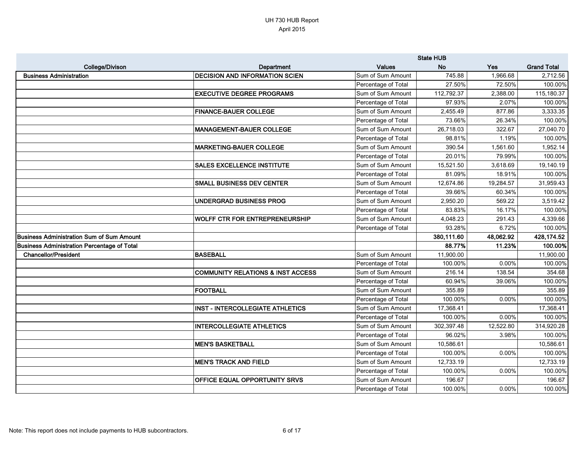|                                                    |                                              |                     | <b>State HUB</b> |            |                    |
|----------------------------------------------------|----------------------------------------------|---------------------|------------------|------------|--------------------|
| College/Divison                                    | Department                                   | <b>Values</b>       | <b>No</b>        | <b>Yes</b> | <b>Grand Total</b> |
| <b>Business Administration</b>                     | <b>DECISION AND INFORMATION SCIEN</b>        | Sum of Sum Amount   | 745.88           | 1,966.68   | 2,712.56           |
|                                                    |                                              | Percentage of Total | 27.50%           | 72.50%     | 100.00%            |
|                                                    | <b>EXECUTIVE DEGREE PROGRAMS</b>             | Sum of Sum Amount   | 112,792.37       | 2,388.00   | 115,180.37         |
|                                                    |                                              | Percentage of Total | 97.93%           | 2.07%      | 100.00%            |
|                                                    | <b>FINANCE-BAUER COLLEGE</b>                 | Sum of Sum Amount   | 2,455.49         | 877.86     | 3,333.35           |
|                                                    |                                              | Percentage of Total | 73.66%           | 26.34%     | 100.00%            |
|                                                    | <b>MANAGEMENT-BAUER COLLEGE</b>              | Sum of Sum Amount   | 26,718.03        | 322.67     | 27,040.70          |
|                                                    |                                              | Percentage of Total | 98.81%           | 1.19%      | 100.00%            |
|                                                    | <b>MARKETING-BAUER COLLEGE</b>               | Sum of Sum Amount   | 390.54           | 1,561.60   | 1,952.14           |
|                                                    |                                              | Percentage of Total | 20.01%           | 79.99%     | 100.00%            |
|                                                    | <b>SALES EXCELLENCE INSTITUTE</b>            | Sum of Sum Amount   | 15,521.50        | 3,618.69   | 19,140.19          |
|                                                    |                                              | Percentage of Total | 81.09%           | 18.91%     | 100.00%            |
|                                                    | <b>SMALL BUSINESS DEV CENTER</b>             | Sum of Sum Amount   | 12,674.86        | 19,284.57  | 31,959.43          |
|                                                    |                                              | Percentage of Total | 39.66%           | 60.34%     | 100.00%            |
|                                                    | <b>UNDERGRAD BUSINESS PROG</b>               | Sum of Sum Amount   | 2,950.20         | 569.22     | 3,519.42           |
|                                                    |                                              | Percentage of Total | 83.83%           | 16.17%     | 100.00%            |
|                                                    | WOLFF CTR FOR ENTREPRENEURSHIP               | Sum of Sum Amount   | 4,048.23         | 291.43     | 4,339.66           |
|                                                    |                                              | Percentage of Total | 93.28%           | 6.72%      | 100.00%            |
| <b>Business Administration Sum of Sum Amount</b>   |                                              |                     | 380,111.60       | 48,062.92  | 428,174.52         |
| <b>Business Administration Percentage of Total</b> |                                              |                     | 88.77%           | 11.23%     | 100.00%            |
| <b>Chancellor/President</b>                        | <b>BASEBALL</b>                              | Sum of Sum Amount   | 11,900.00        |            | 11,900.00          |
|                                                    |                                              | Percentage of Total | 100.00%          | 0.00%      | 100.00%            |
|                                                    | <b>COMMUNITY RELATIONS &amp; INST ACCESS</b> | Sum of Sum Amount   | 216.14           | 138.54     | 354.68             |
|                                                    |                                              | Percentage of Total | 60.94%           | 39.06%     | 100.00%            |
|                                                    | <b>FOOTBALL</b>                              | Sum of Sum Amount   | 355.89           |            | 355.89             |
|                                                    |                                              | Percentage of Total | 100.00%          | 0.00%      | 100.00%            |
|                                                    | <b>INST - INTERCOLLEGIATE ATHLETICS</b>      | Sum of Sum Amount   | 17,368.41        |            | 17,368.41          |
|                                                    |                                              | Percentage of Total | 100.00%          | 0.00%      | 100.00%            |
|                                                    | <b>INTERCOLLEGIATE ATHLETICS</b>             | Sum of Sum Amount   | 302,397.48       | 12,522.80  | 314,920.28         |
|                                                    |                                              | Percentage of Total | 96.02%           | 3.98%      | 100.00%            |
|                                                    | <b>MEN'S BASKETBALL</b>                      | Sum of Sum Amount   | 10,586.61        |            | 10,586.61          |
|                                                    |                                              | Percentage of Total | 100.00%          | 0.00%      | 100.00%            |
|                                                    | <b>MEN'S TRACK AND FIELD</b>                 | Sum of Sum Amount   | 12,733.19        |            | 12,733.19          |
|                                                    |                                              | Percentage of Total | 100.00%          | 0.00%      | 100.00%            |
|                                                    | OFFICE EQUAL OPPORTUNITY SRVS                | Sum of Sum Amount   | 196.67           |            | 196.67             |
|                                                    |                                              | Percentage of Total | 100.00%          | 0.00%      | 100.00%            |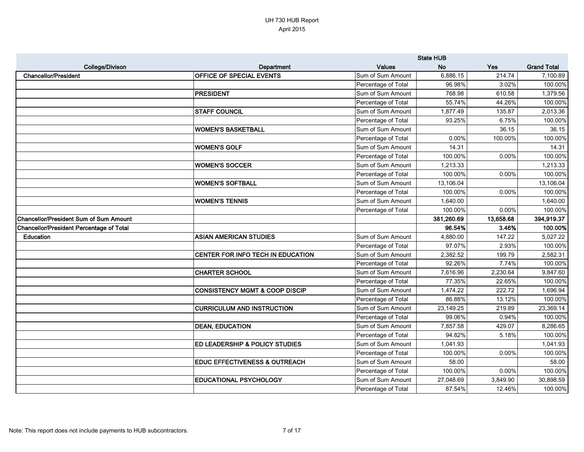|                                                 |                                           |                     | <b>State HUB</b> |           |                    |
|-------------------------------------------------|-------------------------------------------|---------------------|------------------|-----------|--------------------|
| <b>College/Divison</b>                          | Department                                | <b>Values</b>       | <b>No</b>        | Yes       | <b>Grand Total</b> |
| <b>Chancellor/President</b>                     | <b>OFFICE OF SPECIAL EVENTS</b>           | Sum of Sum Amount   | 6,886.15         | 214.74    | 7,100.89           |
|                                                 |                                           | Percentage of Total | 96.98%           | 3.02%     | 100.00%            |
|                                                 | PRESIDENT                                 | Sum of Sum Amount   | 768.98           | 610.58    | 1,379.56           |
|                                                 |                                           | Percentage of Total | 55.74%           | 44.26%    | 100.00%            |
|                                                 | <b>STAFF COUNCIL</b>                      | Sum of Sum Amount   | 1,877.49         | 135.87    | 2,013.36           |
|                                                 |                                           | Percentage of Total | 93.25%           | 6.75%     | 100.00%            |
|                                                 | <b>WOMEN'S BASKETBALL</b>                 | Sum of Sum Amount   |                  | 36.15     | 36.15              |
|                                                 |                                           | Percentage of Total | 0.00%            | 100.00%   | 100.00%            |
|                                                 | <b>WOMEN'S GOLF</b>                       | Sum of Sum Amount   | 14.31            |           | 14.31              |
|                                                 |                                           | Percentage of Total | 100.00%          | 0.00%     | 100.00%            |
|                                                 | <b>WOMEN'S SOCCER</b>                     | Sum of Sum Amount   | 1,213.33         |           | 1,213.33           |
|                                                 |                                           | Percentage of Total | 100.00%          | 0.00%     | 100.00%            |
|                                                 | <b>WOMEN'S SOFTBALL</b>                   | Sum of Sum Amount   | 13,106.04        |           | 13,106.04          |
|                                                 |                                           | Percentage of Total | 100.00%          | 0.00%     | 100.00%            |
|                                                 | <b>WOMEN'S TENNIS</b>                     | Sum of Sum Amount   | 1,640.00         |           | 1,640.00           |
|                                                 |                                           | Percentage of Total | 100.00%          | 0.00%     | 100.00%            |
| <b>Chancellor/President Sum of Sum Amount</b>   |                                           |                     | 381,260.69       | 13,658.68 | 394,919.37         |
| <b>Chancellor/President Percentage of Total</b> |                                           |                     | 96.54%           | 3.46%     | 100.00%            |
| <b>Education</b>                                | <b>ASIAN AMERICAN STUDIES</b>             | Sum of Sum Amount   | 4,880.00         | 147.22    | 5,027.22           |
|                                                 |                                           | Percentage of Total | 97.07%           | 2.93%     | 100.00%            |
|                                                 | CENTER FOR INFO TECH IN EDUCATION         | Sum of Sum Amount   | 2,382.52         | 199.79    | 2,582.31           |
|                                                 |                                           | Percentage of Total | 92.26%           | 7.74%     | 100.00%            |
|                                                 | <b>CHARTER SCHOOL</b>                     | Sum of Sum Amount   | 7,616.96         | 2,230.64  | 9,847.60           |
|                                                 |                                           | Percentage of Total | 77.35%           | 22.65%    | 100.00%            |
|                                                 | <b>CONSISTENCY MGMT &amp; COOP DISCIP</b> | Sum of Sum Amount   | 1,474.22         | 222.72    | 1,696.94           |
|                                                 |                                           | Percentage of Total | 86.88%           | 13.12%    | 100.00%            |
|                                                 | <b>CURRICULUM AND INSTRUCTION</b>         | Sum of Sum Amount   | 23,149.25        | 219.89    | 23,369.14          |
|                                                 |                                           | Percentage of Total | 99.06%           | 0.94%     | 100.00%            |
|                                                 | <b>DEAN, EDUCATION</b>                    | Sum of Sum Amount   | 7,857.58         | 429.07    | 8,286.65           |
|                                                 |                                           | Percentage of Total | 94.82%           | 5.18%     | 100.00%            |
|                                                 | <b>ED LEADERSHIP &amp; POLICY STUDIES</b> | Sum of Sum Amount   | 1,041.93         |           | 1,041.93           |
|                                                 |                                           | Percentage of Total | 100.00%          | 0.00%     | 100.00%            |
|                                                 | <b>EDUC EFFECTIVENESS &amp; OUTREACH</b>  | Sum of Sum Amount   | 58.00            |           | 58.00              |
|                                                 |                                           | Percentage of Total | 100.00%          | 0.00%     | 100.00%            |
|                                                 | <b>EDUCATIONAL PSYCHOLOGY</b>             | Sum of Sum Amount   | 27,048.69        | 3,849.90  | 30,898.59          |
|                                                 |                                           | Percentage of Total | 87.54%           | 12.46%    | 100.00%            |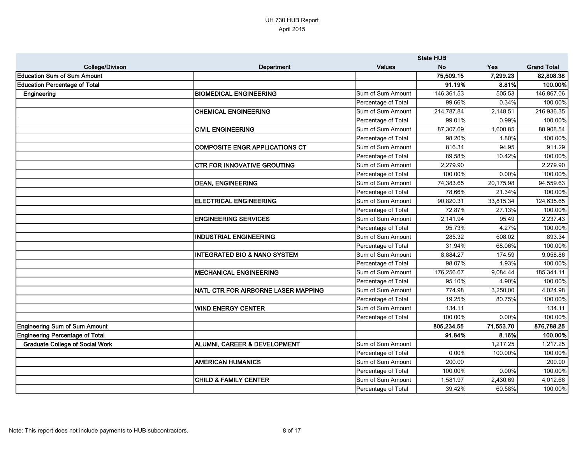|                                        |                                         |                     | <b>State HUB</b> |           |                    |
|----------------------------------------|-----------------------------------------|---------------------|------------------|-----------|--------------------|
| College/Divison                        | Department                              | <b>Values</b>       | <b>No</b>        | Yes       | <b>Grand Total</b> |
| <b>Education Sum of Sum Amount</b>     |                                         |                     | 75,509.15        | 7,299.23  | 82,808.38          |
| <b>Education Percentage of Total</b>   |                                         |                     | 91.19%           | 8.81%     | 100.00%            |
| Engineering                            | <b>BIOMEDICAL ENGINEERING</b>           | Sum of Sum Amount   | 146,361.53       | 505.53    | 146,867.06         |
|                                        |                                         | Percentage of Total | 99.66%           | 0.34%     | 100.00%            |
|                                        | <b>CHEMICAL ENGINEERING</b>             | Sum of Sum Amount   | 214,787.84       | 2,148.51  | 216,936.35         |
|                                        |                                         | Percentage of Total | 99.01%           | 0.99%     | 100.00%            |
|                                        | <b>CIVIL ENGINEERING</b>                | Sum of Sum Amount   | 87,307.69        | 1,600.85  | 88,908.54          |
|                                        |                                         | Percentage of Total | 98.20%           | 1.80%     | 100.00%            |
|                                        | <b>COMPOSITE ENGR APPLICATIONS CT</b>   | Sum of Sum Amount   | 816.34           | 94.95     | 911.29             |
|                                        |                                         | Percentage of Total | 89.58%           | 10.42%    | 100.00%            |
|                                        | <b>CTR FOR INNOVATIVE GROUTING</b>      | Sum of Sum Amount   | 2,279.90         |           | 2,279.90           |
|                                        |                                         | Percentage of Total | 100.00%          | 0.00%     | 100.00%            |
|                                        | <b>DEAN, ENGINEERING</b>                | Sum of Sum Amount   | 74,383.65        | 20,175.98 | 94,559.63          |
|                                        |                                         | Percentage of Total | 78.66%           | 21.34%    | 100.00%            |
|                                        | <b>ELECTRICAL ENGINEERING</b>           | Sum of Sum Amount   | 90,820.31        | 33,815.34 | 124,635.65         |
|                                        |                                         | Percentage of Total | 72.87%           | 27.13%    | 100.00%            |
|                                        | <b>ENGINEERING SERVICES</b>             | Sum of Sum Amount   | 2,141.94         | 95.49     | 2,237.43           |
|                                        |                                         | Percentage of Total | 95.73%           | 4.27%     | 100.00%            |
|                                        | <b>INDUSTRIAL ENGINEERING</b>           | Sum of Sum Amount   | 285.32           | 608.02    | 893.34             |
|                                        |                                         | Percentage of Total | 31.94%           | 68.06%    | 100.00%            |
|                                        | <b>INTEGRATED BIO &amp; NANO SYSTEM</b> | Sum of Sum Amount   | 8,884.27         | 174.59    | 9,058.86           |
|                                        |                                         | Percentage of Total | 98.07%           | 1.93%     | 100.00%            |
|                                        | <b>MECHANICAL ENGINEERING</b>           | Sum of Sum Amount   | 176,256.67       | 9,084.44  | 185,341.11         |
|                                        |                                         | Percentage of Total | 95.10%           | 4.90%     | 100.00%            |
|                                        | NATL CTR FOR AIRBORNE LASER MAPPING     | Sum of Sum Amount   | 774.98           | 3,250.00  | 4,024.98           |
|                                        |                                         | Percentage of Total | 19.25%           | 80.75%    | 100.00%            |
|                                        | <b>WIND ENERGY CENTER</b>               | Sum of Sum Amount   | 134.11           |           | 134.11             |
|                                        |                                         | Percentage of Total | 100.00%          | $0.00\%$  | 100.00%            |
| <b>Engineering Sum of Sum Amount</b>   |                                         |                     | 805,234.55       | 71,553.70 | 876,788.25         |
| <b>Engineering Percentage of Total</b> |                                         |                     | 91.84%           | 8.16%     | 100.00%            |
| <b>Graduate College of Social Work</b> | ALUMNI, CAREER & DEVELOPMENT            | Sum of Sum Amount   |                  | 1,217.25  | 1,217.25           |
|                                        |                                         | Percentage of Total | $0.00\%$         | 100.00%   | 100.00%            |
|                                        | <b>AMERICAN HUMANICS</b>                | Sum of Sum Amount   | 200.00           |           | 200.00             |
|                                        |                                         | Percentage of Total | 100.00%          | 0.00%     | 100.00%            |
|                                        | CHILD & FAMILY CENTER                   | Sum of Sum Amount   | 1,581.97         | 2,430.69  | 4,012.66           |
|                                        |                                         | Percentage of Total | 39.42%           | 60.58%    | 100.00%            |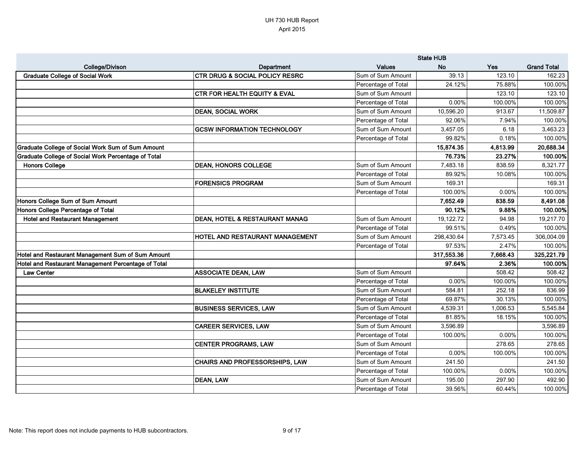|                                                            |                                           |                     | <b>State HUB</b> |          |                    |
|------------------------------------------------------------|-------------------------------------------|---------------------|------------------|----------|--------------------|
| <b>College/Divison</b>                                     | Department                                | <b>Values</b>       | <b>No</b>        | Yes      | <b>Grand Total</b> |
| <b>Graduate College of Social Work</b>                     | <b>CTR DRUG &amp; SOCIAL POLICY RESRC</b> | Sum of Sum Amount   | 39.13            | 123.10   | 162.23             |
|                                                            |                                           | Percentage of Total | 24.12%           | 75.88%   | 100.00%            |
|                                                            | <b>CTR FOR HEALTH EQUITY &amp; EVAL</b>   | Sum of Sum Amount   |                  | 123.10   | 123.10             |
|                                                            |                                           | Percentage of Total | 0.00%            | 100.00%  | 100.00%            |
|                                                            | <b>DEAN, SOCIAL WORK</b>                  | Sum of Sum Amount   | 10,596.20        | 913.67   | 11,509.87          |
|                                                            |                                           | Percentage of Total | 92.06%           | 7.94%    | 100.00%            |
|                                                            | <b>GCSW INFORMATION TECHNOLOGY</b>        | Sum of Sum Amount   | 3,457.05         | 6.18     | 3,463.23           |
|                                                            |                                           | Percentage of Total | 99.82%           | 0.18%    | 100.00%            |
| <b>Graduate College of Social Work Sum of Sum Amount</b>   |                                           |                     | 15,874.35        | 4,813.99 | 20,688.34          |
| <b>Graduate College of Social Work Percentage of Total</b> |                                           |                     | 76.73%           | 23.27%   | 100.00%            |
| <b>Honors College</b>                                      | <b>DEAN, HONORS COLLEGE</b>               | Sum of Sum Amount   | 7,483.18         | 838.59   | 8,321.77           |
|                                                            |                                           | Percentage of Total | 89.92%           | 10.08%   | 100.00%            |
|                                                            | <b>FORENSICS PROGRAM</b>                  | Sum of Sum Amount   | 169.31           |          | 169.31             |
|                                                            |                                           | Percentage of Total | 100.00%          | 0.00%    | 100.00%            |
| Honors College Sum of Sum Amount                           |                                           |                     | 7,652.49         | 838.59   | 8,491.08           |
| Honors College Percentage of Total                         |                                           |                     | 90.12%           | 9.88%    | 100.00%            |
| <b>Hotel and Restaurant Management</b>                     | DEAN, HOTEL & RESTAURANT MANAG            | Sum of Sum Amount   | 19,122.72        | 94.98    | 19,217.70          |
|                                                            |                                           | Percentage of Total | 99.51%           | 0.49%    | 100.00%            |
|                                                            | <b>HOTEL AND RESTAURANT MANAGEMENT</b>    | Sum of Sum Amount   | 298,430.64       | 7,573.45 | 306,004.09         |
|                                                            |                                           | Percentage of Total | 97.53%           | 2.47%    | 100.00%            |
| Hotel and Restaurant Management Sum of Sum Amount          |                                           |                     | 317,553.36       | 7,668.43 | 325,221.79         |
| Hotel and Restaurant Management Percentage of Total        |                                           |                     | 97.64%           | 2.36%    | 100.00%            |
| <b>Law Center</b>                                          | <b>ASSOCIATE DEAN, LAW</b>                | Sum of Sum Amount   |                  | 508.42   | 508.42             |
|                                                            |                                           | Percentage of Total | 0.00%            | 100.00%  | 100.00%            |
|                                                            | <b>BLAKELEY INSTITUTE</b>                 | Sum of Sum Amount   | 584.81           | 252.18   | 836.99             |
|                                                            |                                           | Percentage of Total | 69.87%           | 30.13%   | 100.00%            |
|                                                            | <b>BUSINESS SERVICES, LAW</b>             | Sum of Sum Amount   | 4,539.31         | 1,006.53 | 5,545.84           |
|                                                            |                                           | Percentage of Total | 81.85%           | 18.15%   | 100.00%            |
|                                                            | <b>CAREER SERVICES, LAW</b>               | Sum of Sum Amount   | 3,596.89         |          | 3,596.89           |
|                                                            |                                           | Percentage of Total | 100.00%          | 0.00%    | 100.00%            |
|                                                            | <b>CENTER PROGRAMS, LAW</b>               | Sum of Sum Amount   |                  | 278.65   | 278.65             |
|                                                            |                                           | Percentage of Total | $0.00\%$         | 100.00%  | 100.00%            |
|                                                            | <b>CHAIRS AND PROFESSORSHIPS, LAW</b>     | Sum of Sum Amount   | 241.50           |          | 241.50             |
|                                                            |                                           | Percentage of Total | 100.00%          | 0.00%    | 100.00%            |
|                                                            | <b>DEAN, LAW</b>                          | Sum of Sum Amount   | 195.00           | 297.90   | 492.90             |
|                                                            |                                           | Percentage of Total | 39.56%           | 60.44%   | 100.00%            |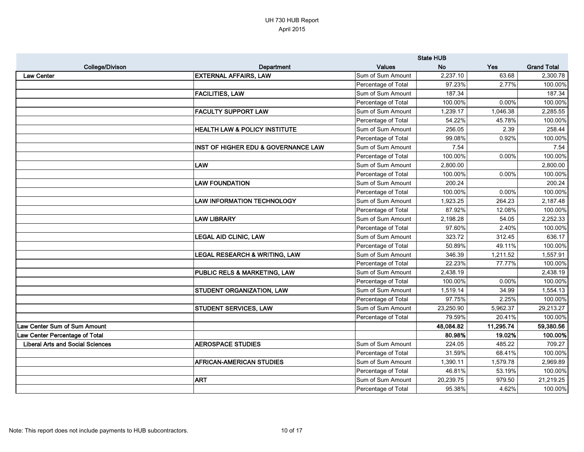|                                         |                                                |                     | <b>State HUB</b> |           |                    |
|-----------------------------------------|------------------------------------------------|---------------------|------------------|-----------|--------------------|
| <b>College/Divison</b>                  | Department                                     | <b>Values</b>       | <b>No</b>        | Yes       | <b>Grand Total</b> |
| <b>Law Center</b>                       | <b>EXTERNAL AFFAIRS, LAW</b>                   | Sum of Sum Amount   | 2,237.10         | 63.68     | 2,300.78           |
|                                         |                                                | Percentage of Total | 97.23%           | 2.77%     | 100.00%            |
|                                         | <b>FACILITIES, LAW</b>                         | Sum of Sum Amount   | 187.34           |           | 187.34             |
|                                         |                                                | Percentage of Total | 100.00%          | 0.00%     | 100.00%            |
|                                         | <b>FACULTY SUPPORT LAW</b>                     | Sum of Sum Amount   | 1,239.17         | 1,046.38  | 2,285.55           |
|                                         |                                                | Percentage of Total | 54.22%           | 45.78%    | 100.00%            |
|                                         | <b>HEALTH LAW &amp; POLICY INSTITUTE</b>       | Sum of Sum Amount   | 256.05           | 2.39      | 258.44             |
|                                         |                                                | Percentage of Total | 99.08%           | 0.92%     | 100.00%            |
|                                         | <b>INST OF HIGHER EDU &amp; GOVERNANCE LAW</b> | Sum of Sum Amount   | 7.54             |           | 7.54               |
|                                         |                                                | Percentage of Total | 100.00%          | 0.00%     | 100.00%            |
|                                         | <b>LAW</b>                                     | Sum of Sum Amount   | 2,800.00         |           | 2,800.00           |
|                                         |                                                | Percentage of Total | 100.00%          | 0.00%     | 100.00%            |
|                                         | <b>LAW FOUNDATION</b>                          | Sum of Sum Amount   | 200.24           |           | 200.24             |
|                                         |                                                | Percentage of Total | 100.00%          | 0.00%     | 100.00%            |
|                                         | <b>LAW INFORMATION TECHNOLOGY</b>              | Sum of Sum Amount   | 1,923.25         | 264.23    | 2,187.48           |
|                                         |                                                | Percentage of Total | 87.92%           | 12.08%    | 100.00%            |
|                                         | <b>LAW LIBRARY</b>                             | Sum of Sum Amount   | 2,198.28         | 54.05     | 2,252.33           |
|                                         |                                                | Percentage of Total | 97.60%           | 2.40%     | 100.00%            |
|                                         | <b>LEGAL AID CLINIC, LAW</b>                   | Sum of Sum Amount   | 323.72           | 312.45    | 636.17             |
|                                         |                                                | Percentage of Total | 50.89%           | 49.11%    | 100.00%            |
|                                         | <b>LEGAL RESEARCH &amp; WRITING, LAW</b>       | Sum of Sum Amount   | 346.39           | 1,211.52  | 1,557.91           |
|                                         |                                                | Percentage of Total | 22.23%           | 77.77%    | 100.00%            |
|                                         | <b>PUBLIC RELS &amp; MARKETING, LAW</b>        | Sum of Sum Amount   | 2,438.19         |           | 2,438.19           |
|                                         |                                                | Percentage of Total | 100.00%          | 0.00%     | 100.00%            |
|                                         | <b>STUDENT ORGANIZATION, LAW</b>               | Sum of Sum Amount   | 1,519.14         | 34.99     | 1,554.13           |
|                                         |                                                | Percentage of Total | 97.75%           | 2.25%     | 100.00%            |
|                                         | <b>STUDENT SERVICES, LAW</b>                   | Sum of Sum Amount   | 23,250.90        | 5,962.37  | 29,213.27          |
|                                         |                                                | Percentage of Total | 79.59%           | 20.41%    | 100.00%            |
| Law Center Sum of Sum Amount            |                                                |                     | 48,084.82        | 11,295.74 | 59,380.56          |
| Law Center Percentage of Total          |                                                |                     | 80.98%           | 19.02%    | 100.00%            |
| <b>Liberal Arts and Social Sciences</b> | <b>AEROSPACE STUDIES</b>                       | Sum of Sum Amount   | 224.05           | 485.22    | 709.27             |
|                                         |                                                | Percentage of Total | 31.59%           | 68.41%    | 100.00%            |
|                                         | <b>AFRICAN-AMERICAN STUDIES</b>                | Sum of Sum Amount   | 1,390.11         | 1,579.78  | 2,969.89           |
|                                         |                                                | Percentage of Total | 46.81%           | 53.19%    | 100.00%            |
|                                         | <b>ART</b>                                     | Sum of Sum Amount   | 20,239.75        | 979.50    | 21,219.25          |
|                                         |                                                | Percentage of Total | 95.38%           | 4.62%     | 100.00%            |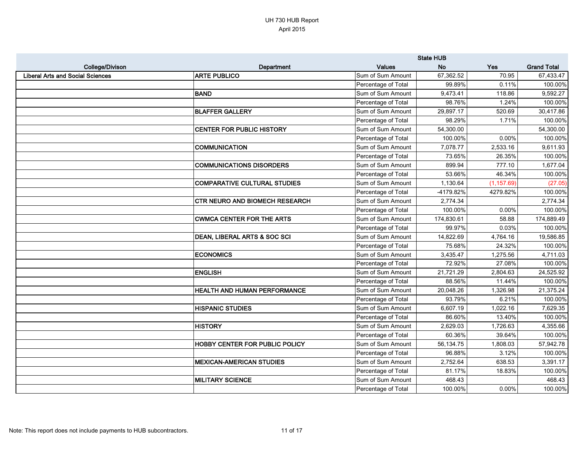|                                         |                                       |                     | <b>State HUB</b> |             |                    |
|-----------------------------------------|---------------------------------------|---------------------|------------------|-------------|--------------------|
| College/Divison                         | Department                            | <b>Values</b>       | <b>No</b>        | <b>Yes</b>  | <b>Grand Total</b> |
| <b>Liberal Arts and Social Sciences</b> | <b>ARTE PUBLICO</b>                   | Sum of Sum Amount   | 67,362.52        | 70.95       | 67,433.47          |
|                                         |                                       | Percentage of Total | 99.89%           | 0.11%       | 100.00%            |
|                                         | <b>BAND</b>                           | Sum of Sum Amount   | 9,473.41         | 118.86      | 9,592.27           |
|                                         |                                       | Percentage of Total | 98.76%           | 1.24%       | 100.00%            |
|                                         | <b>BLAFFER GALLERY</b>                | Sum of Sum Amount   | 29,897.17        | 520.69      | 30,417.86          |
|                                         |                                       | Percentage of Total | 98.29%           | 1.71%       | 100.00%            |
|                                         | <b>CENTER FOR PUBLIC HISTORY</b>      | Sum of Sum Amount   | 54,300.00        |             | 54,300.00          |
|                                         |                                       | Percentage of Total | 100.00%          | 0.00%       | 100.00%            |
|                                         | <b>COMMUNICATION</b>                  | Sum of Sum Amount   | 7,078.77         | 2,533.16    | 9,611.93           |
|                                         |                                       | Percentage of Total | 73.65%           | 26.35%      | 100.00%            |
|                                         | <b>COMMUNICATIONS DISORDERS</b>       | Sum of Sum Amount   | 899.94           | 777.10      | 1,677.04           |
|                                         |                                       | Percentage of Total | 53.66%           | 46.34%      | 100.00%            |
|                                         | <b>COMPARATIVE CULTURAL STUDIES</b>   | Sum of Sum Amount   | 1,130.64         | (1, 157.69) | (27.05)            |
|                                         |                                       | Percentage of Total | -4179.82%        | 4279.82%    | 100.00%            |
|                                         | <b>CTR NEURO AND BIOMECH RESEARCH</b> | Sum of Sum Amount   | 2,774.34         |             | 2,774.34           |
|                                         |                                       | Percentage of Total | 100.00%          | 0.00%       | 100.00%            |
|                                         | <b>CWMCA CENTER FOR THE ARTS</b>      | Sum of Sum Amount   | 174,830.61       | 58.88       | 174,889.49         |
|                                         |                                       | Percentage of Total | 99.97%           | 0.03%       | 100.00%            |
|                                         | DEAN, LIBERAL ARTS & SOC SCI          | Sum of Sum Amount   | 14,822.69        | 4,764.16    | 19,586.85          |
|                                         |                                       | Percentage of Total | 75.68%           | 24.32%      | 100.00%            |
|                                         | <b>ECONOMICS</b>                      | Sum of Sum Amount   | 3,435.47         | 1,275.56    | 4,711.03           |
|                                         |                                       | Percentage of Total | 72.92%           | 27.08%      | 100.00%            |
|                                         | <b>ENGLISH</b>                        | Sum of Sum Amount   | 21,721.29        | 2,804.63    | 24,525.92          |
|                                         |                                       | Percentage of Total | 88.56%           | 11.44%      | 100.00%            |
|                                         | <b>HEALTH AND HUMAN PERFORMANCE</b>   | Sum of Sum Amount   | 20,048.26        | 1,326.98    | 21,375.24          |
|                                         |                                       | Percentage of Total | 93.79%           | 6.21%       | 100.00%            |
|                                         | <b>HISPANIC STUDIES</b>               | Sum of Sum Amount   | 6,607.19         | 1,022.16    | 7,629.35           |
|                                         |                                       | Percentage of Total | 86.60%           | 13.40%      | 100.00%            |
|                                         | <b>HISTORY</b>                        | Sum of Sum Amount   | 2,629.03         | 1,726.63    | 4,355.66           |
|                                         |                                       | Percentage of Total | 60.36%           | 39.64%      | 100.00%            |
|                                         | <b>HOBBY CENTER FOR PUBLIC POLICY</b> | Sum of Sum Amount   | 56,134.75        | 1,808.03    | 57,942.78          |
|                                         |                                       | Percentage of Total | 96.88%           | 3.12%       | 100.00%            |
|                                         | <b>MEXICAN-AMERICAN STUDIES</b>       | Sum of Sum Amount   | 2,752.64         | 638.53      | 3,391.17           |
|                                         |                                       | Percentage of Total | 81.17%           | 18.83%      | 100.00%            |
|                                         | <b>MILITARY SCIENCE</b>               | Sum of Sum Amount   | 468.43           |             | 468.43             |
|                                         |                                       | Percentage of Total | 100.00%          | 0.00%       | 100.00%            |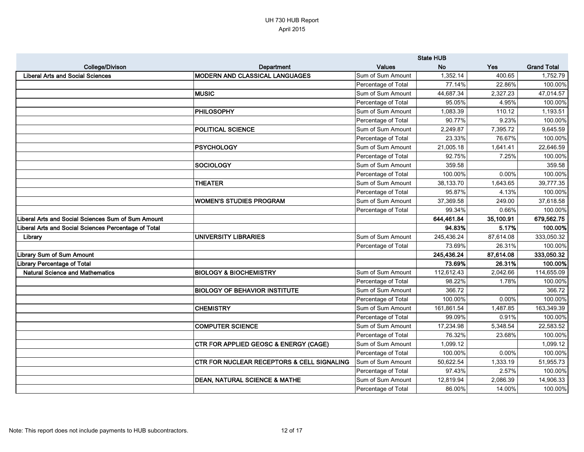|                                                      |                                                       |                     | <b>State HUB</b> |           |                    |
|------------------------------------------------------|-------------------------------------------------------|---------------------|------------------|-----------|--------------------|
| <b>College/Divison</b>                               | Department                                            | <b>Values</b>       | <b>No</b>        | Yes       | <b>Grand Total</b> |
| Liberal Arts and Social Sciences                     | MODERN AND CLASSICAL LANGUAGES                        | Sum of Sum Amount   | 1,352.14         | 400.65    | 1,752.79           |
|                                                      |                                                       | Percentage of Total | 77.14%           | 22.86%    | 100.00%            |
|                                                      | <b>IMUSIC</b>                                         | Sum of Sum Amount   | 44,687.34        | 2,327.23  | 47,014.57          |
|                                                      |                                                       | Percentage of Total | 95.05%           | 4.95%     | 100.00%            |
|                                                      | <b>PHILOSOPHY</b>                                     | Sum of Sum Amount   | 1,083.39         | 110.12    | 1,193.51           |
|                                                      |                                                       | Percentage of Total | 90.77%           | 9.23%     | 100.00%            |
|                                                      | <b>POLITICAL SCIENCE</b>                              | Sum of Sum Amount   | 2,249.87         | 7,395.72  | 9,645.59           |
|                                                      |                                                       | Percentage of Total | 23.33%           | 76.67%    | 100.00%            |
|                                                      | <b>IPSYCHOLOGY</b>                                    | Sum of Sum Amount   | 21,005.18        | 1,641.41  | 22,646.59          |
|                                                      |                                                       | Percentage of Total | 92.75%           | 7.25%     | 100.00%            |
|                                                      | <b>SOCIOLOGY</b>                                      | Sum of Sum Amount   | 359.58           |           | 359.58             |
|                                                      |                                                       | Percentage of Total | 100.00%          | 0.00%     | 100.00%            |
|                                                      | <b>THEATER</b>                                        | Sum of Sum Amount   | 38,133.70        | 1,643.65  | 39,777.35          |
|                                                      |                                                       | Percentage of Total | 95.87%           | 4.13%     | 100.00%            |
|                                                      | WOMEN'S STUDIES PROGRAM                               | Sum of Sum Amount   | 37,369.58        | 249.00    | 37,618.58          |
|                                                      |                                                       | Percentage of Total | 99.34%           | 0.66%     | 100.00%            |
| Liberal Arts and Social Sciences Sum of Sum Amount   |                                                       |                     | 644,461.84       | 35,100.91 | 679,562.75         |
| Liberal Arts and Social Sciences Percentage of Total |                                                       |                     | 94.83%           | 5.17%     | 100.00%            |
| Library                                              | <b>UNIVERSITY LIBRARIES</b>                           | Sum of Sum Amount   | 245,436.24       | 87,614.08 | 333,050.32         |
|                                                      |                                                       | Percentage of Total | 73.69%           | 26.31%    | 100.00%            |
| <b>Library Sum of Sum Amount</b>                     |                                                       |                     | 245,436.24       | 87,614.08 | 333,050.32         |
| Library Percentage of Total                          |                                                       |                     | 73.69%           | 26.31%    | 100.00%            |
| <b>Natural Science and Mathematics</b>               | <b>BIOLOGY &amp; BIOCHEMISTRY</b>                     | Sum of Sum Amount   | 112,612.43       | 2,042.66  | 114,655.09         |
|                                                      |                                                       | Percentage of Total | 98.22%           | 1.78%     | 100.00%            |
|                                                      | <b>BIOLOGY OF BEHAVIOR INSTITUTE</b>                  | Sum of Sum Amount   | 366.72           |           | 366.72             |
|                                                      |                                                       | Percentage of Total | 100.00%          | 0.00%     | 100.00%            |
|                                                      | <b>CHEMISTRY</b>                                      | Sum of Sum Amount   | 161,861.54       | 1,487.85  | 163,349.39         |
|                                                      |                                                       | Percentage of Total | 99.09%           | 0.91%     | 100.00%            |
|                                                      | <b>COMPUTER SCIENCE</b>                               | Sum of Sum Amount   | 17,234.98        | 5,348.54  | 22,583.52          |
|                                                      |                                                       | Percentage of Total | 76.32%           | 23.68%    | 100.00%            |
|                                                      | <b>CTR FOR APPLIED GEOSC &amp; ENERGY (CAGE)</b>      | Sum of Sum Amount   | 1,099.12         |           | 1,099.12           |
|                                                      |                                                       | Percentage of Total | 100.00%          | 0.00%     | 100.00%            |
|                                                      | <b>CTR FOR NUCLEAR RECEPTORS &amp; CELL SIGNALING</b> | Sum of Sum Amount   | 50,622.54        | 1,333.19  | 51,955.73          |
|                                                      |                                                       | Percentage of Total | 97.43%           | 2.57%     | 100.00%            |
|                                                      | <b>DEAN, NATURAL SCIENCE &amp; MATHE</b>              | Sum of Sum Amount   | 12,819.94        | 2,086.39  | 14,906.33          |
|                                                      |                                                       | Percentage of Total | 86.00%           | 14.00%    | 100.00%            |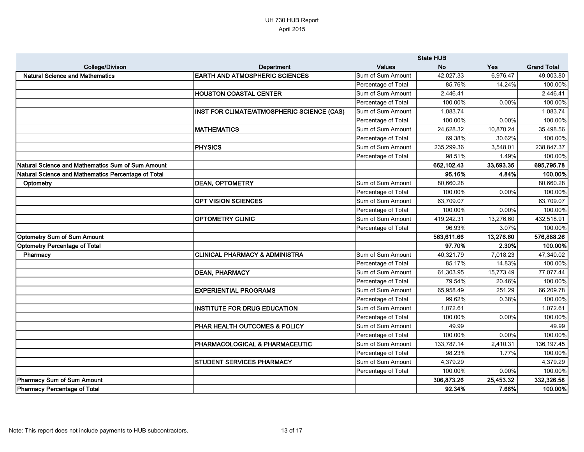|                                                     |                                            | <b>State HUB</b>    |            |            |                    |
|-----------------------------------------------------|--------------------------------------------|---------------------|------------|------------|--------------------|
| <b>College/Divison</b>                              | Department                                 | <b>Values</b>       | <b>No</b>  | <b>Yes</b> | <b>Grand Total</b> |
| <b>Natural Science and Mathematics</b>              | <b>EARTH AND ATMOSPHERIC SCIENCES</b>      | Sum of Sum Amount   | 42,027.33  | 6,976.47   | 49,003.80          |
|                                                     |                                            | Percentage of Total | 85.76%     | 14.24%     | 100.00%            |
|                                                     | <b>HOUSTON COASTAL CENTER</b>              | Sum of Sum Amount   | 2,446.41   |            | 2,446.41           |
|                                                     |                                            | Percentage of Total | 100.00%    | 0.00%      | 100.00%            |
|                                                     | INST FOR CLIMATE/ATMOSPHERIC SCIENCE (CAS) | Sum of Sum Amount   | 1,083.74   |            | 1,083.74           |
|                                                     |                                            | Percentage of Total | 100.00%    | 0.00%      | 100.00%            |
|                                                     | <b>MATHEMATICS</b>                         | Sum of Sum Amount   | 24,628.32  | 10,870.24  | 35,498.56          |
|                                                     |                                            | Percentage of Total | 69.38%     | 30.62%     | 100.00%            |
|                                                     | <b>PHYSICS</b>                             | Sum of Sum Amount   | 235,299.36 | 3,548.01   | 238,847.37         |
|                                                     |                                            | Percentage of Total | 98.51%     | 1.49%      | 100.00%            |
| Natural Science and Mathematics Sum of Sum Amount   |                                            |                     | 662,102.43 | 33,693.35  | 695,795.78         |
| Natural Science and Mathematics Percentage of Total |                                            |                     | 95.16%     | 4.84%      | 100.00%            |
| Optometry                                           | <b>DEAN, OPTOMETRY</b>                     | Sum of Sum Amount   | 80,660.28  |            | 80,660.28          |
|                                                     |                                            | Percentage of Total | 100.00%    | 0.00%      | 100.00%            |
|                                                     | <b>OPT VISION SCIENCES</b>                 | Sum of Sum Amount   | 63,709.07  |            | 63,709.07          |
|                                                     |                                            | Percentage of Total | 100.00%    | 0.00%      | 100.00%            |
|                                                     | <b>OPTOMETRY CLINIC</b>                    | Sum of Sum Amount   | 419,242.31 | 13,276.60  | 432,518.91         |
|                                                     |                                            | Percentage of Total | 96.93%     | 3.07%      | 100.00%            |
| <b>Optometry Sum of Sum Amount</b>                  |                                            |                     | 563,611.66 | 13,276.60  | 576,888.26         |
| Optometry Percentage of Total                       |                                            |                     | 97.70%     | 2.30%      | 100.00%            |
| Pharmacy                                            | <b>CLINICAL PHARMACY &amp; ADMINISTRA</b>  | Sum of Sum Amount   | 40,321.79  | 7,018.23   | 47,340.02          |
|                                                     |                                            | Percentage of Total | 85.17%     | 14.83%     | 100.00%            |
|                                                     | <b>DEAN, PHARMACY</b>                      | Sum of Sum Amount   | 61,303.95  | 15,773.49  | 77,077.44          |
|                                                     |                                            | Percentage of Total | 79.54%     | 20.46%     | 100.00%            |
|                                                     | <b>EXPERIENTIAL PROGRAMS</b>               | Sum of Sum Amount   | 65,958.49  | 251.29     | 66,209.78          |
|                                                     |                                            | Percentage of Total | 99.62%     | 0.38%      | 100.00%            |
|                                                     | <b>INSTITUTE FOR DRUG EDUCATION</b>        | Sum of Sum Amount   | 1,072.61   |            | 1,072.61           |
|                                                     |                                            | Percentage of Total | 100.00%    | $0.00\%$   | 100.00%            |
|                                                     | PHAR HEALTH OUTCOMES & POLICY              | Sum of Sum Amount   | 49.99      |            | 49.99              |
|                                                     |                                            | Percentage of Total | 100.00%    | 0.00%      | 100.00%            |
|                                                     | <b>PHARMACOLOGICAL &amp; PHARMACEUTIC</b>  | Sum of Sum Amount   | 133,787.14 | 2,410.31   | 136,197.45         |
|                                                     |                                            | Percentage of Total | 98.23%     | 1.77%      | 100.00%            |
|                                                     | <b>STUDENT SERVICES PHARMACY</b>           | Sum of Sum Amount   | 4,379.29   |            | 4,379.29           |
|                                                     |                                            | Percentage of Total | 100.00%    | 0.00%      | 100.00%            |
| Pharmacy Sum of Sum Amount                          |                                            |                     | 306,873.26 | 25,453.32  | 332,326.58         |
| Pharmacy Percentage of Total                        |                                            |                     | 92.34%     | 7.66%      | 100.00%            |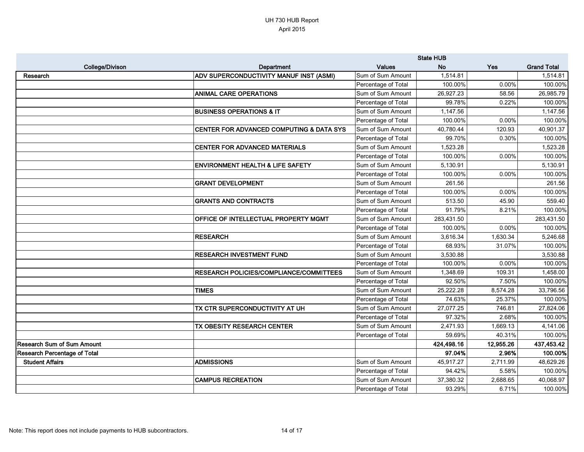|                                     |                                                     | <b>State HUB</b>    |            |           |                    |
|-------------------------------------|-----------------------------------------------------|---------------------|------------|-----------|--------------------|
| <b>College/Divison</b>              | Department                                          | <b>Values</b>       | <b>No</b>  | Yes       | <b>Grand Total</b> |
| Research                            | ADV SUPERCONDUCTIVITY MANUF INST (ASMI)             | Sum of Sum Amount   | 1,514.81   |           | 1,514.81           |
|                                     |                                                     | Percentage of Total | 100.00%    | $0.00\%$  | 100.00%            |
|                                     | <b>ANIMAL CARE OPERATIONS</b>                       | Sum of Sum Amount   | 26,927.23  | 58.56     | 26,985.79          |
|                                     |                                                     | Percentage of Total | 99.78%     | 0.22%     | 100.00%            |
|                                     | <b>BUSINESS OPERATIONS &amp; IT</b>                 | Sum of Sum Amount   | 1,147.56   |           | 1,147.56           |
|                                     |                                                     | Percentage of Total | 100.00%    | 0.00%     | 100.00%            |
|                                     | <b>CENTER FOR ADVANCED COMPUTING &amp; DATA SYS</b> | Sum of Sum Amount   | 40,780.44  | 120.93    | 40,901.37          |
|                                     |                                                     | Percentage of Total | 99.70%     | 0.30%     | 100.00%            |
|                                     | <b>CENTER FOR ADVANCED MATERIALS</b>                | Sum of Sum Amount   | 1,523.28   |           | 1,523.28           |
|                                     |                                                     | Percentage of Total | 100.00%    | 0.00%     | 100.00%            |
|                                     | <b>ENVIRONMENT HEALTH &amp; LIFE SAFETY</b>         | Sum of Sum Amount   | 5,130.91   |           | 5,130.91           |
|                                     |                                                     | Percentage of Total | 100.00%    | 0.00%     | 100.00%            |
|                                     | <b>GRANT DEVELOPMENT</b>                            | Sum of Sum Amount   | 261.56     |           | 261.56             |
|                                     |                                                     | Percentage of Total | 100.00%    | 0.00%     | 100.00%            |
|                                     | <b>GRANTS AND CONTRACTS</b>                         | Sum of Sum Amount   | 513.50     | 45.90     | 559.40             |
|                                     |                                                     | Percentage of Total | 91.79%     | 8.21%     | 100.00%            |
|                                     | OFFICE OF INTELLECTUAL PROPERTY MGMT                | Sum of Sum Amount   | 283,431.50 |           | 283,431.50         |
|                                     |                                                     | Percentage of Total | 100.00%    | 0.00%     | 100.00%            |
|                                     | <b>RESEARCH</b>                                     | Sum of Sum Amount   | 3,616.34   | 1,630.34  | 5,246.68           |
|                                     |                                                     | Percentage of Total | 68.93%     | 31.07%    | 100.00%            |
|                                     | <b>RESEARCH INVESTMENT FUND</b>                     | Sum of Sum Amount   | 3,530.88   |           | 3,530.88           |
|                                     |                                                     | Percentage of Total | 100.00%    | 0.00%     | 100.00%            |
|                                     | RESEARCH POLICIES/COMPLIANCE/COMMITTEES             | Sum of Sum Amount   | 1,348.69   | 109.31    | 1,458.00           |
|                                     |                                                     | Percentage of Total | 92.50%     | 7.50%     | 100.00%            |
|                                     | <b>TIMES</b>                                        | Sum of Sum Amount   | 25,222.28  | 8,574.28  | 33,796.56          |
|                                     |                                                     | Percentage of Total | 74.63%     | 25.37%    | 100.00%            |
|                                     | TX CTR SUPERCONDUCTIVITY AT UH                      | Sum of Sum Amount   | 27,077.25  | 746.81    | 27,824.06          |
|                                     |                                                     | Percentage of Total | 97.32%     | 2.68%     | 100.00%            |
|                                     | TX OBESITY RESEARCH CENTER                          | Sum of Sum Amount   | 2,471.93   | 1,669.13  | 4,141.06           |
|                                     |                                                     | Percentage of Total | 59.69%     | 40.31%    | 100.00%            |
| <b>Research Sum of Sum Amount</b>   |                                                     |                     | 424,498.16 | 12,955.26 | 437,453.42         |
| <b>Research Percentage of Total</b> |                                                     |                     | 97.04%     | 2.96%     | 100.00%            |
| <b>Student Affairs</b>              | <b>ADMISSIONS</b>                                   | Sum of Sum Amount   | 45,917.27  | 2,711.99  | 48,629.26          |
|                                     |                                                     | Percentage of Total | 94.42%     | 5.58%     | 100.00%            |
|                                     | <b>CAMPUS RECREATION</b>                            | Sum of Sum Amount   | 37,380.32  | 2,688.65  | 40,068.97          |
|                                     |                                                     | Percentage of Total | 93.29%     | 6.71%     | 100.00%            |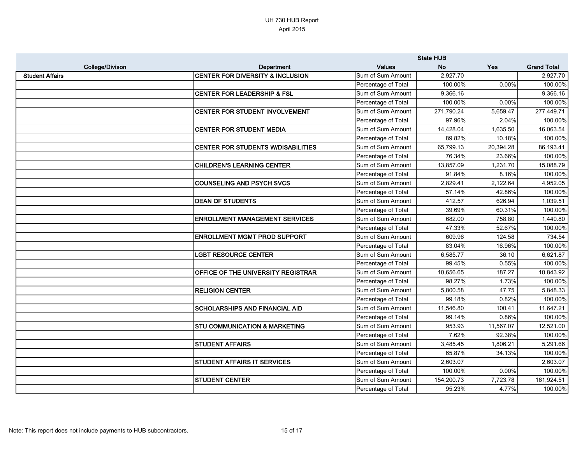|                        |                                             | <b>State HUB</b>    |            |           |                    |
|------------------------|---------------------------------------------|---------------------|------------|-----------|--------------------|
| <b>College/Divison</b> | <b>Department</b>                           | <b>Values</b>       | <b>No</b>  | Yes       | <b>Grand Total</b> |
| <b>Student Affairs</b> | <b>CENTER FOR DIVERSITY &amp; INCLUSION</b> | Sum of Sum Amount   | 2,927.70   |           | 2,927.70           |
|                        |                                             | Percentage of Total | 100.00%    | 0.00%     | 100.00%            |
|                        | <b>CENTER FOR LEADERSHIP &amp; FSL</b>      | Sum of Sum Amount   | 9,366.16   |           | 9,366.16           |
|                        |                                             | Percentage of Total | 100.00%    | 0.00%     | 100.00%            |
|                        | <b>CENTER FOR STUDENT INVOLVEMENT</b>       | Sum of Sum Amount   | 271,790.24 | 5,659.47  | 277,449.71         |
|                        |                                             | Percentage of Total | 97.96%     | 2.04%     | 100.00%            |
|                        | <b>CENTER FOR STUDENT MEDIA</b>             | Sum of Sum Amount   | 14,428.04  | 1,635.50  | 16,063.54          |
|                        |                                             | Percentage of Total | 89.82%     | 10.18%    | 100.00%            |
|                        | <b>CENTER FOR STUDENTS W/DISABILITIES</b>   | Sum of Sum Amount   | 65,799.13  | 20,394.28 | 86,193.41          |
|                        |                                             | Percentage of Total | 76.34%     | 23.66%    | 100.00%            |
|                        | <b>CHILDREN'S LEARNING CENTER</b>           | Sum of Sum Amount   | 13,857.09  | 1,231.70  | 15,088.79          |
|                        |                                             | Percentage of Total | 91.84%     | 8.16%     | 100.00%            |
|                        | <b>COUNSELING AND PSYCH SVCS</b>            | Sum of Sum Amount   | 2,829.41   | 2,122.64  | 4,952.05           |
|                        |                                             | Percentage of Total | 57.14%     | 42.86%    | 100.00%            |
|                        | <b>DEAN OF STUDENTS</b>                     | Sum of Sum Amount   | 412.57     | 626.94    | 1,039.51           |
|                        |                                             | Percentage of Total | 39.69%     | 60.31%    | 100.00%            |
|                        | <b>ENROLLMENT MANAGEMENT SERVICES</b>       | Sum of Sum Amount   | 682.00     | 758.80    | 1,440.80           |
|                        |                                             | Percentage of Total | 47.33%     | 52.67%    | 100.00%            |
|                        | <b>ENROLLMENT MGMT PROD SUPPORT</b>         | Sum of Sum Amount   | 609.96     | 124.58    | 734.54             |
|                        |                                             | Percentage of Total | 83.04%     | 16.96%    | 100.00%            |
|                        | <b>LGBT RESOURCE CENTER</b>                 | Sum of Sum Amount   | 6,585.77   | 36.10     | 6,621.87           |
|                        |                                             | Percentage of Total | 99.45%     | 0.55%     | 100.00%            |
|                        | <b>OFFICE OF THE UNIVERSITY REGISTRAR</b>   | Sum of Sum Amount   | 10,656.65  | 187.27    | 10,843.92          |
|                        |                                             | Percentage of Total | 98.27%     | 1.73%     | 100.00%            |
|                        | <b>RELIGION CENTER</b>                      | Sum of Sum Amount   | 5,800.58   | 47.75     | 5,848.33           |
|                        |                                             | Percentage of Total | 99.18%     | 0.82%     | 100.00%            |
|                        | <b>SCHOLARSHIPS AND FINANCIAL AID</b>       | Sum of Sum Amount   | 11,546.80  | 100.41    | 11,647.21          |
|                        |                                             | Percentage of Total | 99.14%     | 0.86%     | 100.00%            |
|                        | <b>STU COMMUNICATION &amp; MARKETING</b>    | Sum of Sum Amount   | 953.93     | 11,567.07 | 12,521.00          |
|                        |                                             | Percentage of Total | 7.62%      | 92.38%    | 100.00%            |
|                        | <b>STUDENT AFFAIRS</b>                      | Sum of Sum Amount   | 3,485.45   | 1,806.21  | 5,291.66           |
|                        |                                             | Percentage of Total | 65.87%     | 34.13%    | 100.00%            |
|                        | <b>STUDENT AFFAIRS IT SERVICES</b>          | Sum of Sum Amount   | 2,603.07   |           | 2,603.07           |
|                        |                                             | Percentage of Total | 100.00%    | 0.00%     | 100.00%            |
|                        | <b>STUDENT CENTER</b>                       | Sum of Sum Amount   | 154,200.73 | 7,723.78  | 161,924.51         |
|                        |                                             | Percentage of Total | 95.23%     | 4.77%     | 100.00%            |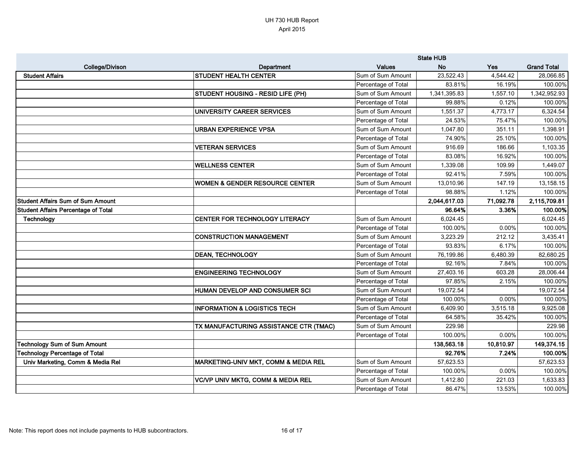|                                            |                                              | <b>State HUB</b>    |              |            |                    |
|--------------------------------------------|----------------------------------------------|---------------------|--------------|------------|--------------------|
| <b>College/Divison</b>                     | Department                                   | <b>Values</b>       | <b>No</b>    | <b>Yes</b> | <b>Grand Total</b> |
| <b>Student Affairs</b>                     | <b>STUDENT HEALTH CENTER</b>                 | Sum of Sum Amount   | 23,522.43    | 4,544.42   | 28,066.85          |
|                                            |                                              | Percentage of Total | 83.81%       | 16.19%     | 100.00%            |
|                                            | <b>STUDENT HOUSING - RESID LIFE (PH)</b>     | Sum of Sum Amount   | 1,341,395.83 | 1,557.10   | 1,342,952.93       |
|                                            |                                              | Percentage of Total | 99.88%       | 0.12%      | 100.00%            |
|                                            | UNIVERSITY CAREER SERVICES                   | Sum of Sum Amount   | 1,551.37     | 4,773.17   | 6,324.54           |
|                                            |                                              | Percentage of Total | 24.53%       | 75.47%     | 100.00%            |
|                                            | <b>URBAN EXPERIENCE VPSA</b>                 | Sum of Sum Amount   | 1,047.80     | 351.11     | 1,398.91           |
|                                            |                                              | Percentage of Total | 74.90%       | 25.10%     | 100.00%            |
|                                            | <b>VETERAN SERVICES</b>                      | Sum of Sum Amount   | 916.69       | 186.66     | 1,103.35           |
|                                            |                                              | Percentage of Total | 83.08%       | 16.92%     | 100.00%            |
|                                            | <b>WELLNESS CENTER</b>                       | Sum of Sum Amount   | 1,339.08     | 109.99     | 1,449.07           |
|                                            |                                              | Percentage of Total | 92.41%       | 7.59%      | 100.00%            |
|                                            | <b>WOMEN &amp; GENDER RESOURCE CENTER</b>    | Sum of Sum Amount   | 13,010.96    | 147.19     | 13,158.15          |
|                                            |                                              | Percentage of Total | 98.88%       | 1.12%      | 100.00%            |
| <b>Student Affairs Sum of Sum Amount</b>   |                                              |                     | 2,044,617.03 | 71,092.78  | 2,115,709.81       |
| <b>Student Affairs Percentage of Total</b> |                                              |                     | 96.64%       | 3.36%      | 100.00%            |
| Technology                                 | CENTER FOR TECHNOLOGY LITERACY               | Sum of Sum Amount   | 6,024.45     |            | 6,024.45           |
|                                            |                                              | Percentage of Total | 100.00%      | 0.00%      | 100.00%            |
|                                            | <b>CONSTRUCTION MANAGEMENT</b>               | Sum of Sum Amount   | 3,223.29     | 212.12     | 3,435.41           |
|                                            |                                              | Percentage of Total | 93.83%       | 6.17%      | 100.00%            |
|                                            | <b>DEAN, TECHNOLOGY</b>                      | Sum of Sum Amount   | 76,199.86    | 6,480.39   | 82,680.25          |
|                                            |                                              | Percentage of Total | 92.16%       | 7.84%      | 100.00%            |
|                                            | <b>ENGINEERING TECHNOLOGY</b>                | Sum of Sum Amount   | 27,403.16    | 603.28     | 28,006.44          |
|                                            |                                              | Percentage of Total | 97.85%       | 2.15%      | 100.00%            |
|                                            | HUMAN DEVELOP AND CONSUMER SCI               | Sum of Sum Amount   | 19,072.54    |            | 19,072.54          |
|                                            |                                              | Percentage of Total | 100.00%      | 0.00%      | 100.00%            |
|                                            | <b>INFORMATION &amp; LOGISTICS TECH</b>      | Sum of Sum Amount   | 6,409.90     | 3,515.18   | 9,925.08           |
|                                            |                                              | Percentage of Total | 64.58%       | 35.42%     | 100.00%            |
|                                            | TX MANUFACTURING ASSISTANCE CTR (TMAC)       | Sum of Sum Amount   | 229.98       |            | 229.98             |
|                                            |                                              | Percentage of Total | 100.00%      | 0.00%      | 100.00%            |
| <b>Technology Sum of Sum Amount</b>        |                                              |                     | 138,563.18   | 10,810.97  | 149,374.15         |
| <b>Technology Percentage of Total</b>      |                                              |                     | 92.76%       | 7.24%      | 100.00%            |
| Univ Marketing, Comm & Media Rel           | MARKETING-UNIV MKT, COMM & MEDIA REL         | Sum of Sum Amount   | 57,623.53    |            | 57,623.53          |
|                                            |                                              | Percentage of Total | 100.00%      | 0.00%      | 100.00%            |
|                                            | <b>VC/VP UNIV MKTG, COMM &amp; MEDIA REL</b> | Sum of Sum Amount   | 1,412.80     | 221.03     | 1,633.83           |
|                                            |                                              | Percentage of Total | 86.47%       | 13.53%     | 100.00%            |